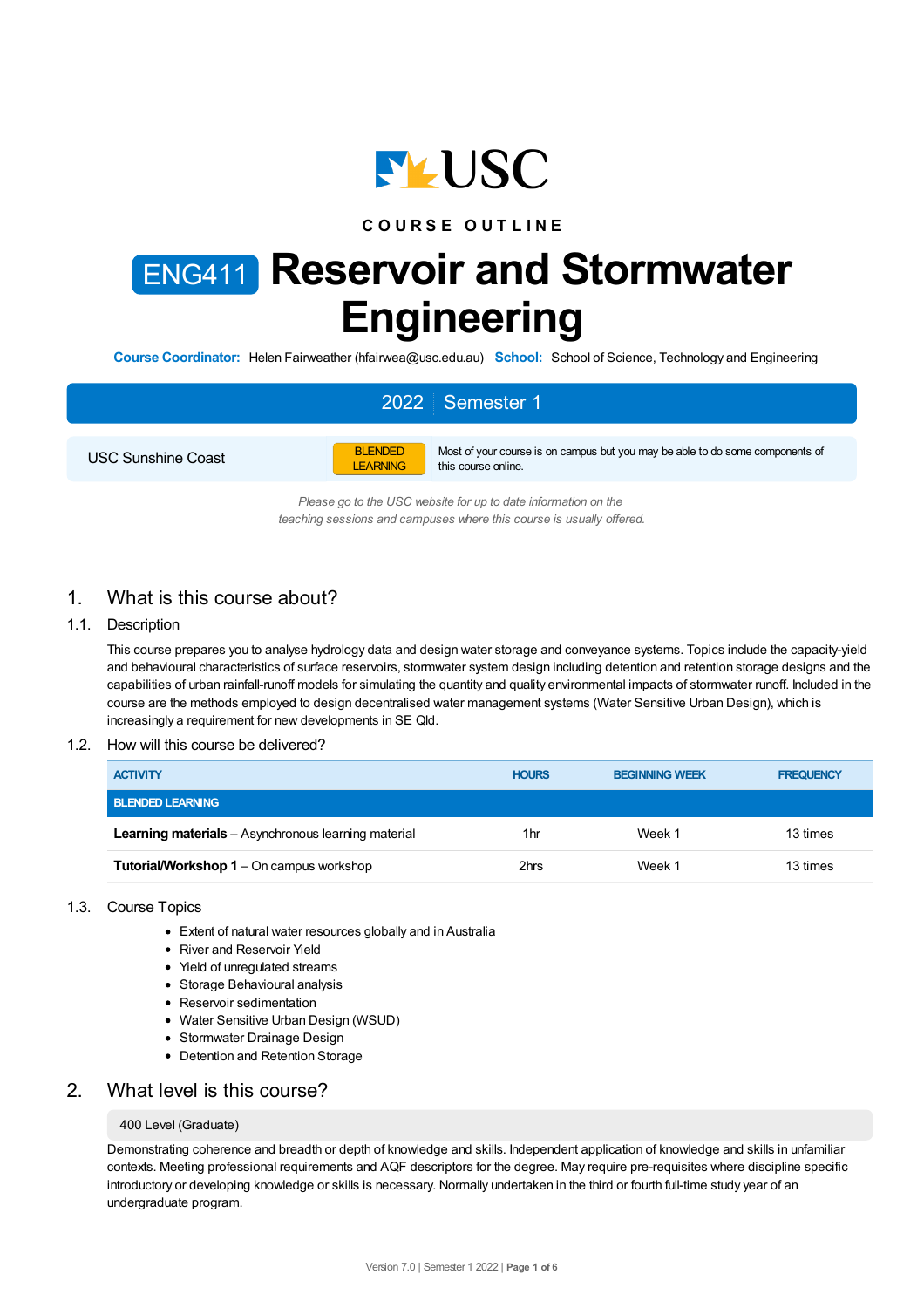

## **C O U R S E O U T L I N E**

# ENG411 **Reservoir and Stormwater Engineering**

**Course Coordinator:** Helen Fairweather (hfairwea@usc.edu.au) **School:** School of Science, Technology and Engineering

# 2022 Semester 1

USC Sunshine Coast



Most of your course is on campus but you may be able to do some components of this course online.

*Please go to the USC website for up to date information on the teaching sessions and campuses where this course is usually offered.*

## 1. What is this course about?

## 1.1. Description

This course prepares you to analyse hydrology data and design water storage and conveyance systems. Topics include the capacity-yield and behavioural characteristics of surface reservoirs, stormwater system design including detention and retention storage designs and the capabilities of urban rainfall-runoff models for simulating the quantity and quality environmental impacts of stormwater runoff. Included in the course are the methods employed to design decentralised water management systems (Water Sensitive Urban Design), which is increasingly a requirement for new developments in SE Qld.

#### 1.2. How will this course be delivered?

| <b>ACTIVITY</b>                                     | <b>HOURS</b> | <b>BEGINNING WEEK</b> | <b>FREQUENCY</b> |
|-----------------------------------------------------|--------------|-----------------------|------------------|
| <b>BLENDED LEARNING</b>                             |              |                       |                  |
| Learning materials - Asynchronous learning material | 1hr          | Week 1                | 13 times         |
| <b>Tutorial/Workshop 1</b> – On campus workshop     | 2hrs         | Week 1                | 13 times         |

## 1.3. Course Topics

- Extent of natural water resources globally and in Australia
- River and Reservoir Yield
- Yield of unregulated streams
- Storage Behavioural analysis
- Reservoir sedimentation
- Water Sensitive Urban Design (WSUD)
- Stormwater Drainage Design
- Detention and Retention Storage

## 2. What level is this course?

#### 400 Level (Graduate)

Demonstrating coherence and breadth or depth of knowledge and skills. Independent application of knowledge and skills in unfamiliar contexts. Meeting professional requirements and AQF descriptors for the degree. May require pre-requisites where discipline specific introductory or developing knowledge or skills is necessary. Normally undertaken in the third or fourth full-time study year of an undergraduate program.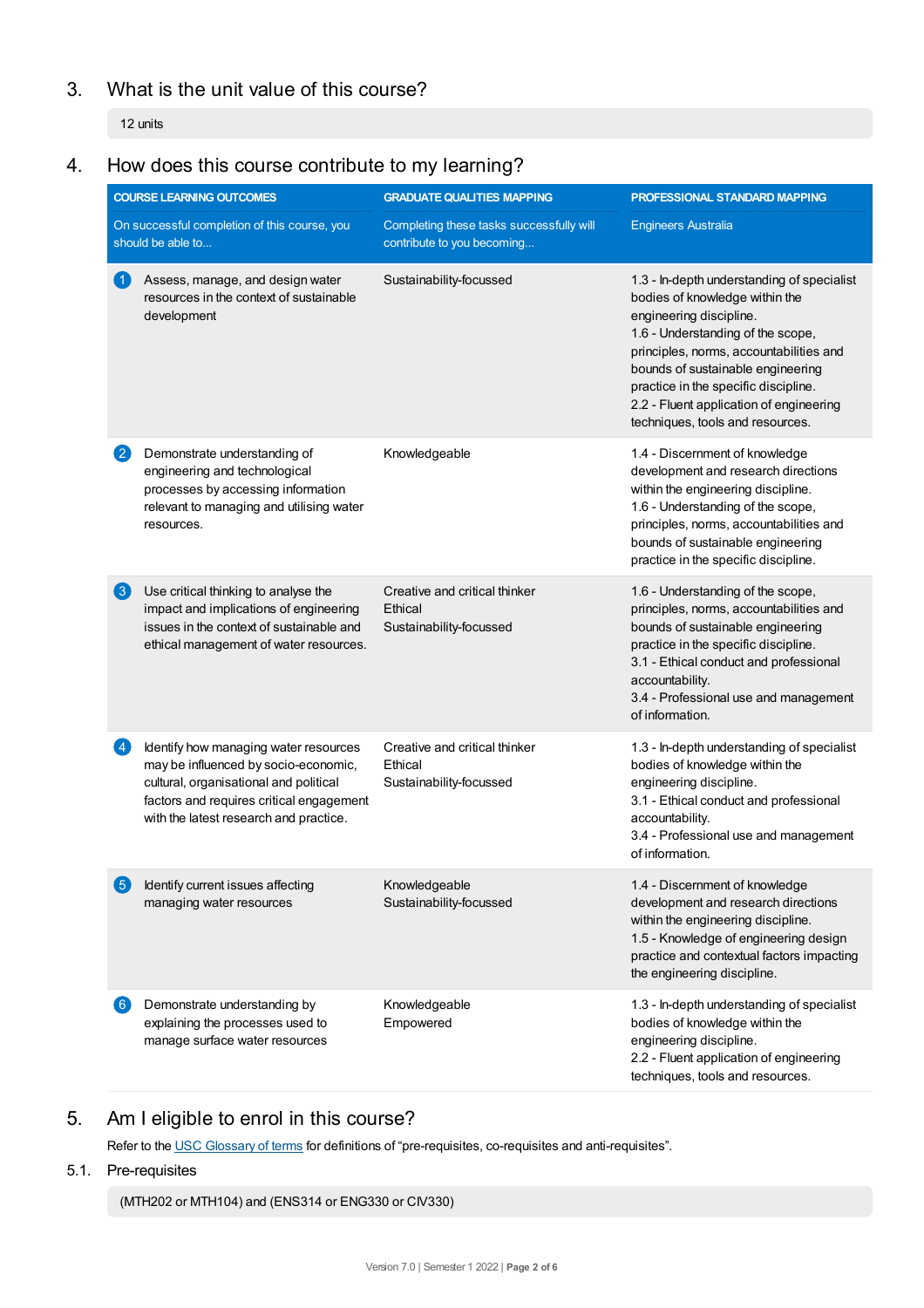# 3. What is the unit value of this course?

12 units

# 4. How does this course contribute to my learning?

|                   | <b>COURSE LEARNING OUTCOMES</b>                                                                                                                                                                               | <b>GRADUATE QUALITIES MAPPING</b>                                      | PROFESSIONAL STANDARD MAPPING                                                                                                                                                                                                                                                                                                                       |
|-------------------|---------------------------------------------------------------------------------------------------------------------------------------------------------------------------------------------------------------|------------------------------------------------------------------------|-----------------------------------------------------------------------------------------------------------------------------------------------------------------------------------------------------------------------------------------------------------------------------------------------------------------------------------------------------|
|                   | On successful completion of this course, you<br>should be able to                                                                                                                                             | Completing these tasks successfully will<br>contribute to you becoming | <b>Engineers Australia</b>                                                                                                                                                                                                                                                                                                                          |
|                   | Assess, manage, and design water<br>resources in the context of sustainable<br>development                                                                                                                    | Sustainability-focussed                                                | 1.3 - In-depth understanding of specialist<br>bodies of knowledge within the<br>engineering discipline.<br>1.6 - Understanding of the scope,<br>principles, norms, accountabilities and<br>bounds of sustainable engineering<br>practice in the specific discipline.<br>2.2 - Fluent application of engineering<br>techniques, tools and resources. |
|                   | Demonstrate understanding of<br>engineering and technological<br>processes by accessing information<br>relevant to managing and utilising water<br>resources.                                                 | Knowledgeable                                                          | 1.4 - Discernment of knowledge<br>development and research directions<br>within the engineering discipline.<br>1.6 - Understanding of the scope,<br>principles, norms, accountabilities and<br>bounds of sustainable engineering<br>practice in the specific discipline.                                                                            |
| $\left( 3\right)$ | Use critical thinking to analyse the<br>impact and implications of engineering<br>issues in the context of sustainable and<br>ethical management of water resources.                                          | Creative and critical thinker<br>Ethical<br>Sustainability-focussed    | 1.6 - Understanding of the scope,<br>principles, norms, accountabilities and<br>bounds of sustainable engineering<br>practice in the specific discipline.<br>3.1 - Ethical conduct and professional<br>accountability.<br>3.4 - Professional use and management<br>of information.                                                                  |
|                   | Identify how managing water resources<br>may be influenced by socio-economic,<br>cultural, organisational and political<br>factors and requires critical engagement<br>with the latest research and practice. | Creative and critical thinker<br>Ethical<br>Sustainability-focussed    | 1.3 - In-depth understanding of specialist<br>bodies of knowledge within the<br>engineering discipline.<br>3.1 - Ethical conduct and professional<br>accountability.<br>3.4 - Professional use and management<br>of information.                                                                                                                    |
| (5)               | Identify current issues affecting<br>managing water resources                                                                                                                                                 | Knowledgeable<br>Sustainability-focussed                               | 1.4 - Discernment of knowledge<br>development and research directions<br>within the engineering discipline.<br>1.5 - Knowledge of engineering design<br>practice and contextual factors impacting<br>the engineering discipline.                                                                                                                    |
| $6 \,$            | Demonstrate understanding by<br>explaining the processes used to<br>manage surface water resources                                                                                                            | Knowledgeable<br>Empowered                                             | 1.3 - In-depth understanding of specialist<br>bodies of knowledge within the<br>engineering discipline.<br>2.2 - Fluent application of engineering<br>techniques, tools and resources.                                                                                                                                                              |

# 5. Am Ieligible to enrol in this course?

Refer to the USC [Glossary](https://www.usc.edu.au/about/policies-and-procedures/glossary-of-terms-for-policy-and-procedures) of terms for definitions of "pre-requisites, co-requisites and anti-requisites".

## 5.1. Pre-requisites

(MTH202 or MTH104) and (ENS314 or ENG330 or CIV330)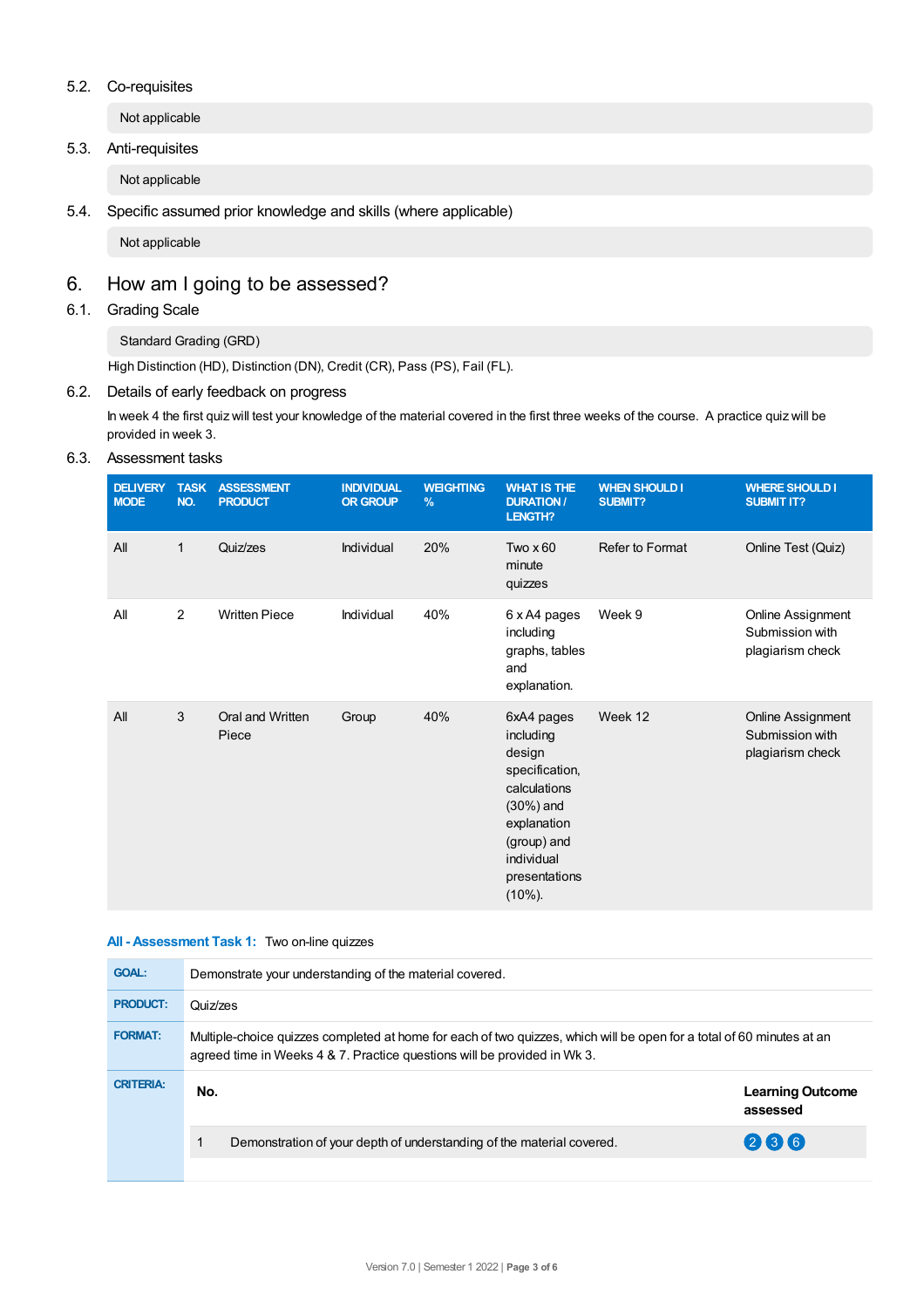## 5.2. Co-requisites

Not applicable

## 5.3. Anti-requisites

Not applicable

5.4. Specific assumed prior knowledge and skills (where applicable)

Not applicable

# 6. How am Igoing to be assessed?

6.1. Grading Scale

Standard Grading (GRD)

High Distinction (HD), Distinction (DN), Credit (CR), Pass (PS), Fail (FL).

## 6.2. Details of early feedback on progress

In week 4 the first quiz will test your knowledge of the material covered in the first three weeks of the course. A practice quiz will be provided in week 3.

## 6.3. Assessment tasks

| <b>DELIVERY</b><br><b>MODE</b> | <b>TASK</b><br>NO. | <b>ASSESSMENT</b><br><b>PRODUCT</b> | <b>INDIVIDUAL</b><br><b>OR GROUP</b> | <b>WEIGHTING</b><br>$\frac{9}{6}$ | <b>WHAT IS THE</b><br><b>DURATION /</b><br>LENGTH?                                                                                                             | <b>WHEN SHOULD I</b><br><b>SUBMIT?</b> | <b>WHERE SHOULD I</b><br><b>SUBMIT IT?</b>               |
|--------------------------------|--------------------|-------------------------------------|--------------------------------------|-----------------------------------|----------------------------------------------------------------------------------------------------------------------------------------------------------------|----------------------------------------|----------------------------------------------------------|
| All                            | $\mathbf{1}$       | Quiz/zes                            | Individual                           | 20%                               | Two $\times 60$<br>minute<br>quizzes                                                                                                                           | Refer to Format                        | Online Test (Quiz)                                       |
| All                            | $\overline{2}$     | <b>Written Piece</b>                | Individual                           | 40%                               | 6 x A4 pages<br>including<br>graphs, tables<br>and<br>explanation.                                                                                             | Week 9                                 | Online Assignment<br>Submission with<br>plagiarism check |
| All                            | 3                  | Oral and Written<br>Piece           | Group                                | 40%                               | 6xA4 pages<br>including<br>design<br>specification,<br>calculations<br>$(30\%)$ and<br>explanation<br>(group) and<br>individual<br>presentations<br>$(10\%)$ . | Week 12                                | Online Assignment<br>Submission with<br>plagiarism check |

## **All - Assessment Task 1:** Two on-line quizzes

| <b>GOAL:</b>     | Demonstrate your understanding of the material covered.                                                                                                                                           |                                     |  |  |  |
|------------------|---------------------------------------------------------------------------------------------------------------------------------------------------------------------------------------------------|-------------------------------------|--|--|--|
| <b>PRODUCT:</b>  | Quiz/zes                                                                                                                                                                                          |                                     |  |  |  |
| <b>FORMAT:</b>   | Multiple-choice quizzes completed at home for each of two quizzes, which will be open for a total of 60 minutes at an<br>agreed time in Weeks 4 & 7. Practice questions will be provided in Wk 3. |                                     |  |  |  |
| <b>CRITERIA:</b> | No.                                                                                                                                                                                               | <b>Learning Outcome</b><br>assessed |  |  |  |
|                  | Demonstration of your depth of understanding of the material covered.                                                                                                                             | 236                                 |  |  |  |
|                  |                                                                                                                                                                                                   |                                     |  |  |  |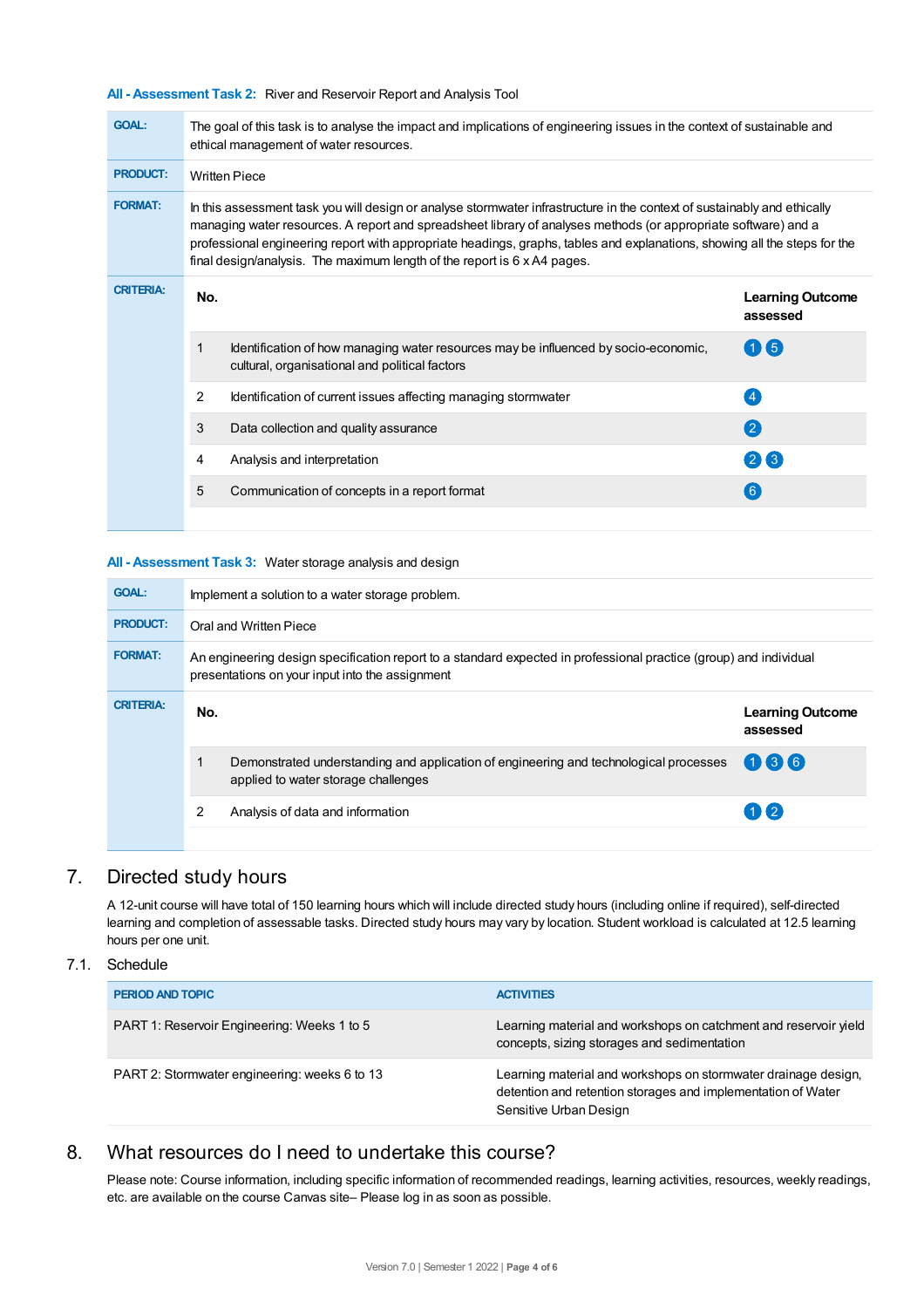**All - Assessment Task 2:** River and Reservoir Report and Analysis Tool

| <b>GOAL:</b>     | The goal of this task is to analyse the impact and implications of engineering issues in the context of sustainable and<br>ethical management of water resources.                                                                                                                                                                                                                                                                                   |                                                                                                                                       |                                     |  |  |  |  |
|------------------|-----------------------------------------------------------------------------------------------------------------------------------------------------------------------------------------------------------------------------------------------------------------------------------------------------------------------------------------------------------------------------------------------------------------------------------------------------|---------------------------------------------------------------------------------------------------------------------------------------|-------------------------------------|--|--|--|--|
| <b>PRODUCT:</b>  |                                                                                                                                                                                                                                                                                                                                                                                                                                                     | <b>Written Piece</b>                                                                                                                  |                                     |  |  |  |  |
| <b>FORMAT:</b>   | In this assessment task you will design or analyse stormwater infrastructure in the context of sustainably and ethically<br>managing water resources. A report and spreadsheet library of analyses methods (or appropriate software) and a<br>professional engineering report with appropriate headings, graphs, tables and explanations, showing all the steps for the<br>final design/analysis. The maximum length of the report is 6 x A4 pages. |                                                                                                                                       |                                     |  |  |  |  |
| <b>CRITERIA:</b> | No.                                                                                                                                                                                                                                                                                                                                                                                                                                                 |                                                                                                                                       | <b>Learning Outcome</b><br>assessed |  |  |  |  |
|                  | 1                                                                                                                                                                                                                                                                                                                                                                                                                                                   | Identification of how managing water resources may be influenced by socio-economic,<br>cultural, organisational and political factors | $(1)$ (5)                           |  |  |  |  |
|                  | $\overline{2}$                                                                                                                                                                                                                                                                                                                                                                                                                                      | Identification of current issues affecting managing stormwater                                                                        | $\overline{A}$                      |  |  |  |  |
|                  | 3                                                                                                                                                                                                                                                                                                                                                                                                                                                   | Data collection and quality assurance                                                                                                 | $\mathbf{Q}$                        |  |  |  |  |
|                  | 4                                                                                                                                                                                                                                                                                                                                                                                                                                                   | Analysis and interpretation                                                                                                           | 26                                  |  |  |  |  |
|                  | 5                                                                                                                                                                                                                                                                                                                                                                                                                                                   | Communication of concepts in a report format                                                                                          | 6                                   |  |  |  |  |

#### **All - Assessment Task 3:** Water storage analysis and design

| <b>GOAL:</b>     | Implement a solution to a water storage problem.                                                                                                                     |                                                                                                                              |                                     |  |  |
|------------------|----------------------------------------------------------------------------------------------------------------------------------------------------------------------|------------------------------------------------------------------------------------------------------------------------------|-------------------------------------|--|--|
| <b>PRODUCT:</b>  | Oral and Written Piece                                                                                                                                               |                                                                                                                              |                                     |  |  |
| <b>FORMAT:</b>   | An engineering design specification report to a standard expected in professional practice (group) and individual<br>presentations on your input into the assignment |                                                                                                                              |                                     |  |  |
| <b>CRITERIA:</b> | No.                                                                                                                                                                  |                                                                                                                              | <b>Learning Outcome</b><br>assessed |  |  |
|                  |                                                                                                                                                                      | Demonstrated understanding and application of engineering and technological processes<br>applied to water storage challenges | 036                                 |  |  |
|                  | 2                                                                                                                                                                    | Analysis of data and information                                                                                             | $(1)$ $(2)$                         |  |  |

# 7. Directed study hours

A 12-unit course will have total of 150 learning hours which will include directed study hours (including online if required), self-directed learning and completion of assessable tasks. Directed study hours may vary by location. Student workload is calculated at 12.5 learning hours per one unit.

## 7.1. Schedule

| <b>PERIOD AND TOPIC</b>                       | <b>ACTIVITIES</b>                                                                                                                                        |
|-----------------------------------------------|----------------------------------------------------------------------------------------------------------------------------------------------------------|
| PART 1: Reservoir Engineering: Weeks 1 to 5   | Learning material and workshops on catchment and reservoir yield<br>concepts, sizing storages and sedimentation                                          |
| PART 2: Stormwater engineering: weeks 6 to 13 | Learning material and workshops on stormwater drainage design,<br>detention and retention storages and implementation of Water<br>Sensitive Urban Design |

## 8. What resources do I need to undertake this course?

Please note: Course information, including specific information of recommended readings, learning activities, resources, weekly readings, etc. are available on the course Canvas site– Please log in as soon as possible.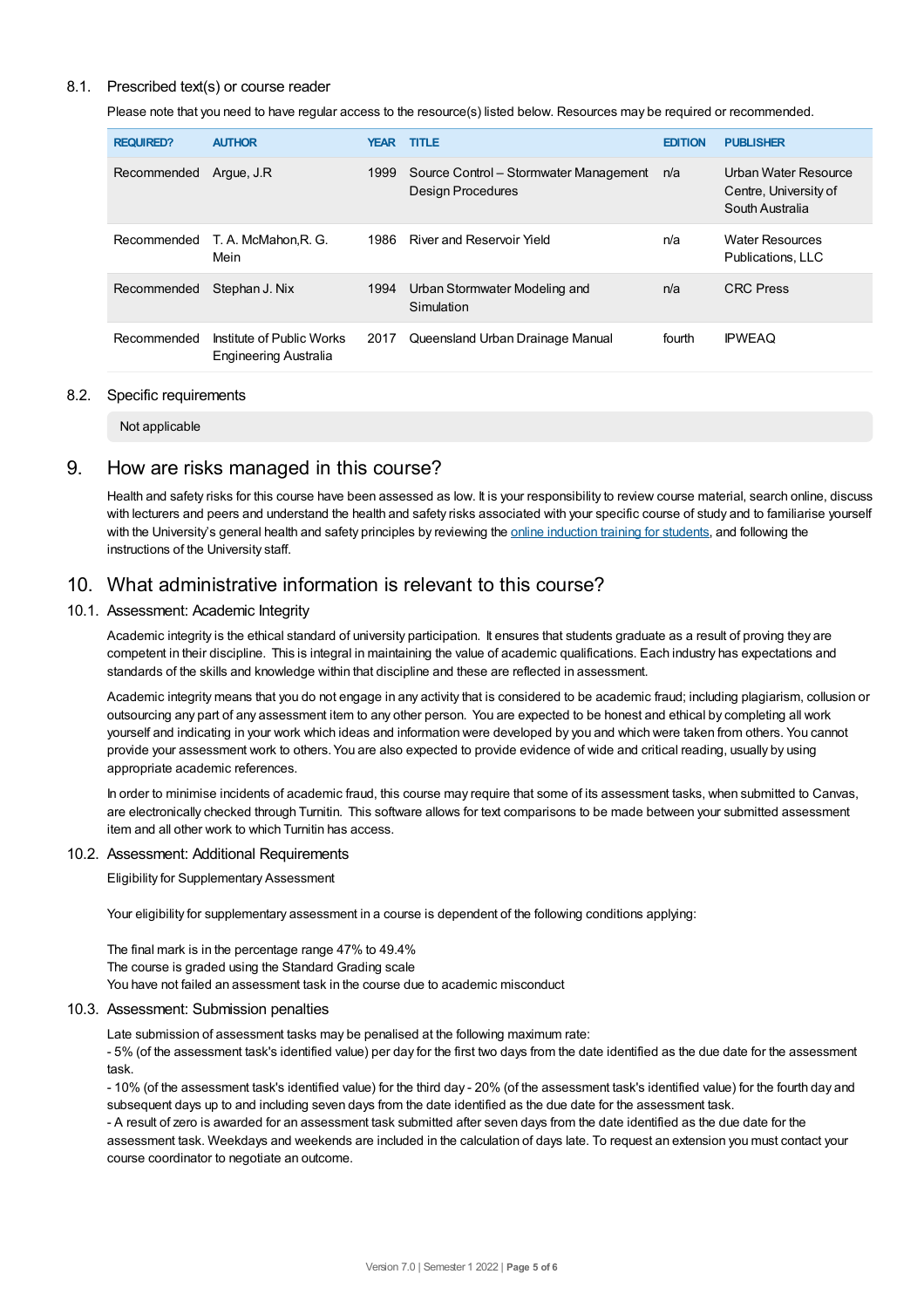## 8.1. Prescribed text(s) or course reader

Please note that you need to have regular access to the resource(s) listed below. Resources may be required or recommended.

| <b>REQUIRED?</b> | <b>AUTHOR</b>                                      | <b>YEAR</b> | <b>TITLE</b>                                                | <b>EDITION</b> | <b>PUBLISHER</b>                                                 |
|------------------|----------------------------------------------------|-------------|-------------------------------------------------------------|----------------|------------------------------------------------------------------|
| Recommended      | Arque, J.R                                         | 1999        | Source Control - Stormwater Management<br>Design Procedures | n/a            | Urban Water Resource<br>Centre, University of<br>South Australia |
| Recommended      | T. A. McMahon.R. G.<br>Mein                        | 1986        | River and Reservoir Yield                                   | n/a            | <b>Water Resources</b><br>Publications, LLC                      |
| Recommended      | Stephan J. Nix                                     | 1994        | Urban Stormwater Modeling and<br>Simulation                 | n/a            | <b>CRC</b> Press                                                 |
| Recommended      | Institute of Public Works<br>Engineering Australia | 2017        | Queensland Urban Drainage Manual                            | fourth         | <b>IPWEAQ</b>                                                    |

#### 8.2. Specific requirements

Not applicable

## 9. How are risks managed in this course?

Health and safety risks for this course have been assessed as low. It is your responsibility to review course material, search online, discuss with lecturers and peers and understand the health and safety risks associated with your specific course of study and to familiarise yourself with the University's general health and safety principles by reviewing the online [induction](https://online.usc.edu.au/webapps/blackboard/content/listContentEditable.jsp?content_id=_632657_1&course_id=_14432_1) training for students, and following the instructions of the University staff.

## 10. What administrative information is relevant to this course?

## 10.1. Assessment: Academic Integrity

Academic integrity is the ethical standard of university participation. It ensures that students graduate as a result of proving they are competent in their discipline. This is integral in maintaining the value of academic qualifications. Each industry has expectations and standards of the skills and knowledge within that discipline and these are reflected in assessment.

Academic integrity means that you do not engage in any activity that is considered to be academic fraud; including plagiarism, collusion or outsourcing any part of any assessment item to any other person. You are expected to be honest and ethical by completing all work yourself and indicating in your work which ideas and information were developed by you and which were taken from others. You cannot provide your assessment work to others.You are also expected to provide evidence of wide and critical reading, usually by using appropriate academic references.

In order to minimise incidents of academic fraud, this course may require that some of its assessment tasks, when submitted to Canvas, are electronically checked through Turnitin. This software allows for text comparisons to be made between your submitted assessment item and all other work to which Turnitin has access.

#### 10.2. Assessment: Additional Requirements

Eligibility for Supplementary Assessment

Your eligibility for supplementary assessment in a course is dependent of the following conditions applying:

The final mark is in the percentage range 47% to 49.4% The course is graded using the Standard Grading scale You have not failed an assessment task in the course due to academic misconduct

#### 10.3. Assessment: Submission penalties

Late submission of assessment tasks may be penalised at the following maximum rate:

- 5% (of the assessment task's identified value) per day for the first two days from the date identified as the due date for the assessment task.

- 10% (of the assessment task's identified value) for the third day - 20% (of the assessment task's identified value) for the fourth day and subsequent days up to and including seven days from the date identified as the due date for the assessment task.

- A result of zero is awarded for an assessment task submitted after seven days from the date identified as the due date for the assessment task. Weekdays and weekends are included in the calculation of days late. To request an extension you must contact your course coordinator to negotiate an outcome.